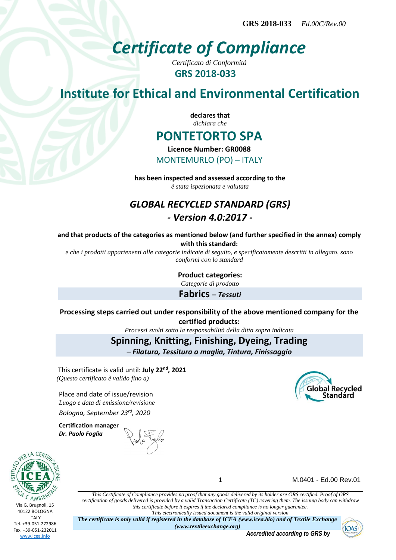# *Certificate of Compliance*

*Certificato di Conformità* **GRS 2018-033**

## **Institute for Ethical and Environmental Certification**

**declares that** *dichiara che*

## **PONTETORTO SPA**

**Licence Number: GR0088**

MONTEMURLO (PO) – ITALY

**has been inspected and assessed according to the** *è stata ispezionata e valutata*

## *GLOBAL RECYCLED STANDARD (GRS) - Version 4.0:2017 -*

**and that products of the categories as mentioned below (and further specified in the annex) comply with this standard:**

*e che i prodotti appartenenti alle categorie indicate di seguito, e specificatamente descritti in allegato, sono conformi con lo standard*

**Product categories:**

*Categorie di prodotto*

**Fabrics** *– Tessuti*

**Processing steps carried out under responsibility of the above mentioned company for the certified products:**

*Processi svolti sotto la responsabilità della ditta sopra indicata*

**Spinning, Knitting, Finishing, Dyeing, Trading**

*– Filatura, Tessitura a maglia, Tintura, Finissaggio*

This certificate is valid until: **July 22nd, 2021** *(Questo certificato è valido fino a)*

Place and date of issue/revision *Luogo e data di emissione/revisione Bologna, September 23rd, 2020*

**Certification manager** *Dr. Paolo Foglia*



1 M.0401 - Ed.00 Rev.01

**Global Recycled Standard** 

*This Certificate of Compliance provides no proof that any goods delivered by its holder are GRS certified. Proof of GRS certification of goods delivered is provided by a valid Transaction Certificate (TC) covering them. The issuing body can withdraw this certificate before it expires if the declared compliance is no longer guarantee. This electronically issued document is the valid original version*

*The certificate is only valid if registered in the database of ICEA (www.icea.bio) and of Textile Exchange (www.textileexchange.org)*

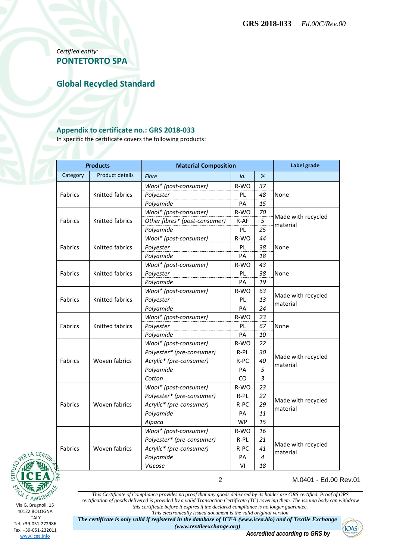*Certified entity:* **PONTETORTO SPA**

**Global Recycled Standard**

#### **Appendix to certificate no.: GRS 2018-033**

In specific the certificate covers the following products:

| <b>Products</b> |                        | <b>Material Composition</b>   |           |    | Label grade                    |  |
|-----------------|------------------------|-------------------------------|-----------|----|--------------------------------|--|
| Category        | <b>Product details</b> | <b>Fibre</b>                  | Id.       | %  |                                |  |
| <b>Fabrics</b>  | Knitted fabrics        | Wool* (post-consumer)         | R-WO      | 37 |                                |  |
|                 |                        | Polyester                     | PL        | 48 | None                           |  |
|                 |                        | Polyamide                     | PA        | 15 |                                |  |
| <b>Fabrics</b>  | Knitted fabrics        | Wool* (post-consumer)         | R-WO      | 70 | Made with recycled<br>material |  |
|                 |                        | Other fibres* (post-consumer) | R-AF      | 5  |                                |  |
|                 |                        | Polyamide                     | <b>PL</b> | 25 |                                |  |
| Fabrics         | Knitted fabrics        | Wool* (post-consumer)         | R-WO      | 44 | None                           |  |
|                 |                        | Polyester                     | PL        | 38 |                                |  |
|                 |                        | Polyamide                     | PA        | 18 |                                |  |
| Fabrics         |                        | Wool* (post-consumer)         | R-WO      | 43 |                                |  |
|                 | <b>Knitted fabrics</b> | Polyester                     | <b>PL</b> | 38 | None                           |  |
|                 |                        | Polyamide                     | PA        | 19 |                                |  |
| <b>Fabrics</b>  | Knitted fabrics        | Wool* (post-consumer)         | R-WO      | 63 |                                |  |
|                 |                        | Polyester                     | PL        | 13 | Made with recycled             |  |
|                 |                        | Polyamide                     | PA        | 24 | material                       |  |
| <b>Fabrics</b>  | Knitted fabrics        | Wool* (post-consumer)         | R-WO      | 23 | None                           |  |
|                 |                        | Polyester                     | PL.       | 67 |                                |  |
|                 |                        | Polyamide                     | <b>PA</b> | 10 |                                |  |
|                 | Woven fabrics          | Wool* (post-consumer)         | R-WO      | 22 | Made with recycled<br>material |  |
|                 |                        | Polyester* (pre-consumer)     | R-PL      | 30 |                                |  |
| <b>Fabrics</b>  |                        | Acrylic* (pre-consumer)       | R-PC      | 40 |                                |  |
|                 |                        | Polyamide                     | PA        | 5  |                                |  |
|                 |                        | Cotton                        | CO        | 3  |                                |  |
| <b>Fabrics</b>  | Woven fabrics          | Wool* (post-consumer)         | R-WO      | 23 | Made with recycled<br>material |  |
|                 |                        | Polyester* (pre-consumer)     | $R-PL$    | 22 |                                |  |
|                 |                        | Acrylic* (pre-consumer)       | R-PC      | 29 |                                |  |
|                 |                        | Polyamide                     | <b>PA</b> | 11 |                                |  |
|                 |                        | Alpaca                        | <b>WP</b> | 15 |                                |  |
| <b>Fabrics</b>  | Woven fabrics          | Wool* (post-consumer)         | R-WO      | 16 |                                |  |
|                 |                        | Polyester* (pre-consumer)     | $R-PL$    | 21 |                                |  |
|                 |                        | Acrylic* (pre-consumer)       | R-PC      | 41 | Made with recycled<br>material |  |
|                 |                        | Polyamide                     | PA        | 4  |                                |  |
|                 |                        | Viscose                       | VI        | 18 |                                |  |



2 M.0401 - Ed.00 Rev.01

*This Certificate of Compliance provides no proof that any goods delivered by its holder are GRS certified. Proof of GRS certification of goods delivered is provided by a valid Transaction Certificate (TC) covering them. The issuing body can withdraw this certificate before it expires if the declared compliance is no longer guarantee. This electronically issued document is the valid original version*

*The certificate is only valid if registered in the database of ICEA (www.icea.bio) and of Textile Exchange (www.textileexchange.org)*

*Accredited according to GRS by*

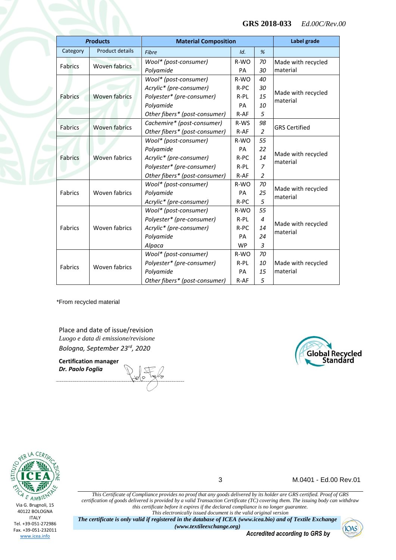#### **GRS 2018-033** *Ed.00C/Rev.00*

| <b>Products</b> |                        | <b>Material Composition</b>   |           |                | Label grade                    |  |
|-----------------|------------------------|-------------------------------|-----------|----------------|--------------------------------|--|
| Category        | <b>Product details</b> | <b>Fibre</b>                  | Id.       | %              |                                |  |
| <b>Fabrics</b>  | <b>Woven fabrics</b>   | Wool* (post-consumer)         | R-WO      | 70             | Made with recycled             |  |
|                 |                        | Polyamide                     | <b>PA</b> | 30             | material                       |  |
|                 | <b>Woven fabrics</b>   | Wool* (post-consumer)         | R-WO      | 40             | Made with recycled<br>material |  |
|                 |                        | Acrylic* (pre-consumer)       | $R-PC$    | 30             |                                |  |
| <b>Fabrics</b>  |                        | Polyester* (pre-consumer)     | R-PL      | 15             |                                |  |
|                 |                        | Polyamide                     | PA        | 10             |                                |  |
|                 |                        | Other fibers* (post-consumer) | R-AF      | 5              |                                |  |
| <b>Fabrics</b>  | <b>Woven fabrics</b>   | Cachemire* (post-consumer)    | R-WS      | 98             | <b>GRS Certified</b>           |  |
|                 |                        | Other fibers* (post-consumer) | $R-AF$    | $\overline{2}$ |                                |  |
| Fabrics         | <b>Woven fabrics</b>   | Wool* (post-consumer)         | R-WO      | 55             |                                |  |
|                 |                        | Polyamide                     | PA        | 22             | Made with recycled<br>material |  |
|                 |                        | Acrylic* (pre-consumer)       | $R-PC$    | 14             |                                |  |
|                 |                        | Polyester* (pre-consumer)     | $R-PL$    | $\overline{z}$ |                                |  |
|                 |                        | Other fibers* (post-consumer) | $R-AF$    | 2              |                                |  |
|                 | Woven fabrics          | Wool* (post-consumer)         | $R-WO$    | 70             |                                |  |
| Fabrics         |                        | Polyamide                     | PA        | 25             | Made with recycled<br>material |  |
|                 |                        | Acrylic* (pre-consumer)       | R-PC      | 5              |                                |  |
| <b>Fabrics</b>  | Woven fabrics          | Wool* (post-consumer)         | R-WO      | 55             | Made with recycled<br>material |  |
|                 |                        | Polyester* (pre-consumer)     | $R-PL$    | 4              |                                |  |
|                 |                        | Acrylic* (pre-consumer)       | R-PC      | 14             |                                |  |
|                 |                        | Polyamide                     | PA        | 24             |                                |  |
|                 |                        | Alpaca                        | <b>WP</b> | $\overline{3}$ |                                |  |
| Fabrics         | Woven fabrics          | Wool* (post-consumer)         | R-WO      | 70             |                                |  |
|                 |                        | Polyester* (pre-consumer)     | R-PL      | 10             | Made with recycled<br>material |  |
|                 |                        | Polyamide                     | PA        | 15             |                                |  |
|                 |                        | Other fibers* (post-consumer) | R-AF      | 5              |                                |  |

\*From recycled material

Place and date of issue/revision *Luogo e data di emissione/revisione Bologna, September 23rd, 2020*

**Certification manager** *Dr. Paolo Foglia*





3 M.0401 - Ed.00 Rev.01

*This Certificate of Compliance provides no proof that any goods delivered by its holder are GRS certified. Proof of GRS certification of goods delivered is provided by a valid Transaction Certificate (TC) covering them. The issuing body can withdraw this certificate before it expires if the declared compliance is no longer guarantee. This electronically issued document is the valid original version*

*The certificate is only valid if registered in the database of ICEA (www.icea.bio) and of Textile Exchange (www.textileexchange.org)*